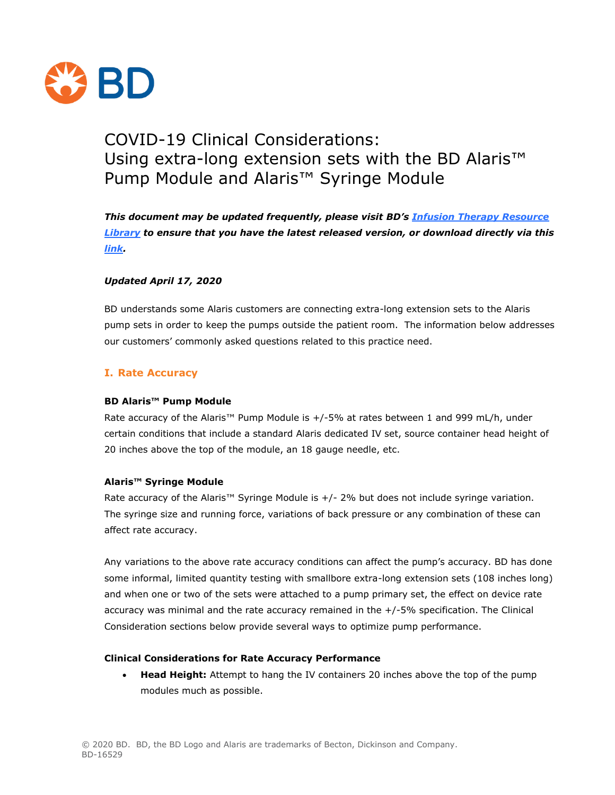

# COVID-19 Clinical Considerations: Using extra-long extension sets with the BD Alaris<sup>™</sup> Pump Module and Alaris<sup>™</sup> Syringe Module

*This document may be updated frequently, please visit BD's [Infusion Therapy Resource](https://www.bd.com/en-us/offerings/capabilities/infusion-therapy/infusion-therapy-resource-library)  [Library](https://www.bd.com/en-us/offerings/capabilities/infusion-therapy/infusion-therapy-resource-library) to ensure that you have the latest released version, or download directly via this [link.](https://www.bd.com/documents/COVID-19/Clinical%20Considerations%20Long%20Extension%20Sets.pdf)*

# *Updated April 17, 2020*

BD understands some Alaris customers are connecting extra-long extension sets to the Alaris pump sets in order to keep the pumps outside the patient room. The information below addresses our customers' commonly asked questions related to this practice need.

# **I. Rate Accuracy**

#### **BD Alaris™ Pump Module**

Rate accuracy of the Alaris™ Pump Module is +/-5% at rates between 1 and 999 mL/h, under certain conditions that include a standard Alaris dedicated IV set, source container head height of 20 inches above the top of the module, an 18 gauge needle, etc.

#### **Alaris™ Syringe Module**

Rate accuracy of the Alaris™ Syringe Module is  $+/$ - 2% but does not include syringe variation. The syringe size and running force, variations of back pressure or any combination of these can affect rate accuracy.

Any variations to the above rate accuracy conditions can affect the pump's accuracy. BD has done some informal, limited quantity testing with smallbore extra-long extension sets (108 inches long) and when one or two of the sets were attached to a pump primary set, the effect on device rate accuracy was minimal and the rate accuracy remained in the +/-5% specification. The Clinical Consideration sections below provide several ways to optimize pump performance.

#### **Clinical Considerations for Rate Accuracy Performance**

 **Head Height:** Attempt to hang the IV containers 20 inches above the top of the pump modules much as possible.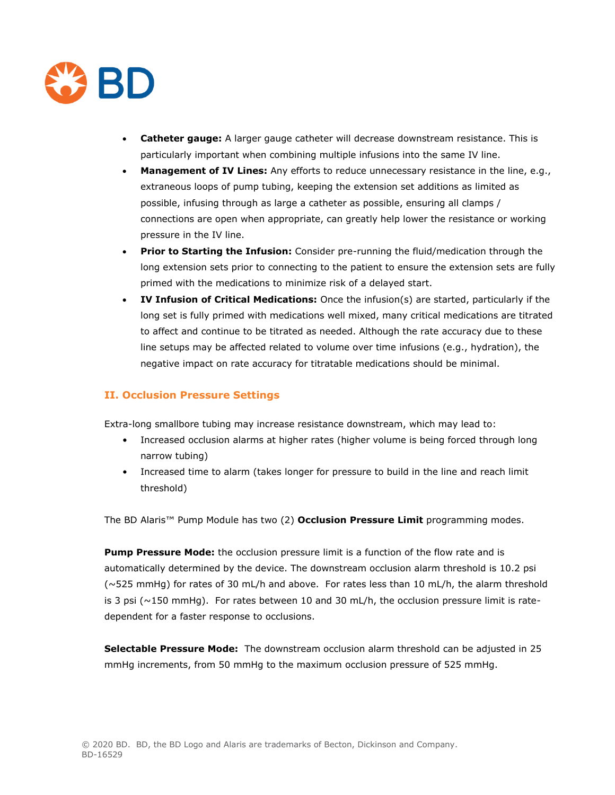

- **Catheter gauge:** A larger gauge catheter will decrease downstream resistance. This is particularly important when combining multiple infusions into the same IV line.
- **Management of IV Lines:** Any efforts to reduce unnecessary resistance in the line, e.g., extraneous loops of pump tubing, keeping the extension set additions as limited as possible, infusing through as large a catheter as possible, ensuring all clamps / connections are open when appropriate, can greatly help lower the resistance or working pressure in the IV line.
- **Prior to Starting the Infusion:** Consider pre-running the fluid/medication through the long extension sets prior to connecting to the patient to ensure the extension sets are fully primed with the medications to minimize risk of a delayed start.
- **IV Infusion of Critical Medications:** Once the infusion(s) are started, particularly if the long set is fully primed with medications well mixed, many critical medications are titrated to affect and continue to be titrated as needed. Although the rate accuracy due to these line setups may be affected related to volume over time infusions (e.g., hydration), the negative impact on rate accuracy for titratable medications should be minimal.

# **II. Occlusion Pressure Settings**

Extra-long smallbore tubing may increase resistance downstream, which may lead to:

- Increased occlusion alarms at higher rates (higher volume is being forced through long narrow tubing)
- Increased time to alarm (takes longer for pressure to build in the line and reach limit threshold)

The BD Alaris™ Pump Module has two (2) **Occlusion Pressure Limit** programming modes.

**Pump Pressure Mode:** the occlusion pressure limit is a function of the flow rate and is automatically determined by the device. The downstream occlusion alarm threshold is 10.2 psi (~525 mmHg) for rates of 30 mL/h and above. For rates less than 10 mL/h, the alarm threshold is 3 psi ( $\sim$ 150 mmHg). For rates between 10 and 30 mL/h, the occlusion pressure limit is ratedependent for a faster response to occlusions.

**Selectable Pressure Mode:** The downstream occlusion alarm threshold can be adjusted in 25 mmHg increments, from 50 mmHg to the maximum occlusion pressure of 525 mmHg.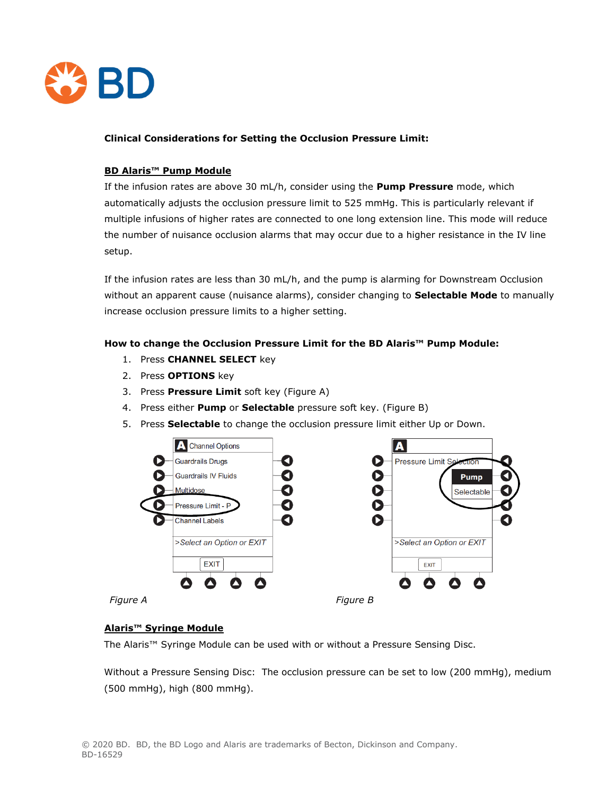

#### **Clinical Considerations for Setting the Occlusion Pressure Limit:**

# **BD Alaris™ Pump Module**

If the infusion rates are above 30 mL/h, consider using the **Pump Pressure** mode, which automatically adjusts the occlusion pressure limit to 525 mmHg. This is particularly relevant if multiple infusions of higher rates are connected to one long extension line. This mode will reduce the number of nuisance occlusion alarms that may occur due to a higher resistance in the IV line setup.

If the infusion rates are less than 30 mL/h, and the pump is alarming for Downstream Occlusion without an apparent cause (nuisance alarms), consider changing to **Selectable Mode** to manually increase occlusion pressure limits to a higher setting.

# **How to change the Occlusion Pressure Limit for the BD Alaris™ Pump Module:**

- 1. Press **CHANNEL SELECT** key
- 2. Press **OPTIONS** key
- 3. Press **Pressure Limit** soft key (Figure A)
- 4. Press either **Pump** or **Selectable** pressure soft key. (Figure B)
- 5. Press **Selectable** to change the occlusion pressure limit either Up or Down.



# **Alaris™ Syringe Module**

The Alaris™ Syringe Module can be used with or without a Pressure Sensing Disc.

Without a Pressure Sensing Disc: The occlusion pressure can be set to low (200 mmHg), medium (500 mmHg), high (800 mmHg).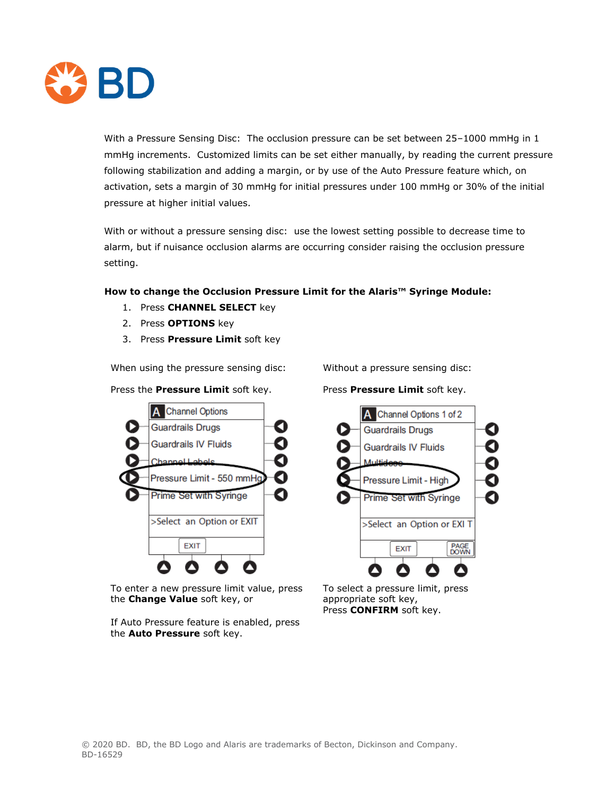

With a Pressure Sensing Disc: The occlusion pressure can be set between 25–1000 mmHg in 1 mmHg increments. Customized limits can be set either manually, by reading the current pressure following stabilization and adding a margin, or by use of the Auto Pressure feature which, on activation, sets a margin of 30 mmHg for initial pressures under 100 mmHg or 30% of the initial pressure at higher initial values.

With or without a pressure sensing disc: use the lowest setting possible to decrease time to alarm, but if nuisance occlusion alarms are occurring consider raising the occlusion pressure setting.

# **How to change the Occlusion Pressure Limit for the Alaris™ Syringe Module:**

- 1. Press **CHANNEL SELECT** key
- 2. Press **OPTIONS** key
- 3. Press **Pressure Limit** soft key

When using the pressure sensing disc: Without a pressure sensing disc:

Press the **Pressure Limit** soft key. Press **Pressure Limit** soft key.



To enter a new pressure limit value, press the **Change Value** soft key, or

If Auto Pressure feature is enabled, press the **Auto Pressure** soft key.



To select a pressure limit, press appropriate soft key, Press **CONFIRM** soft key.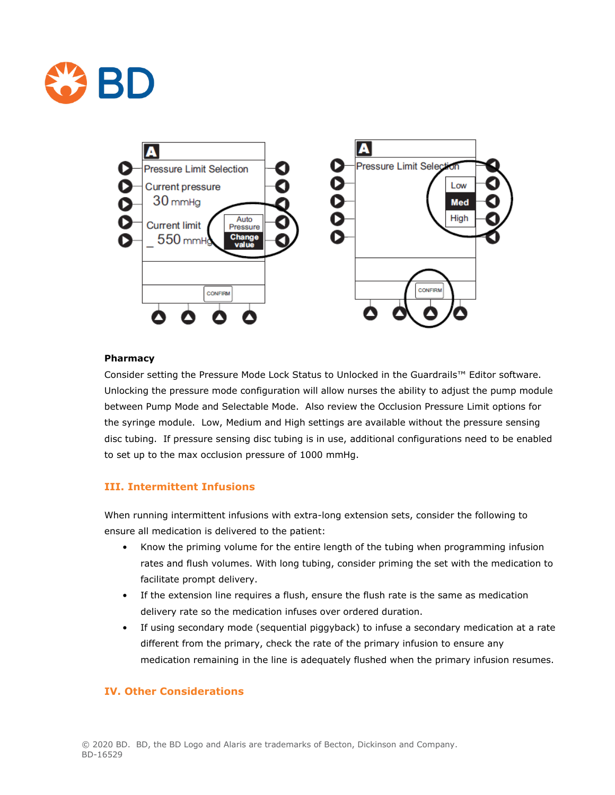



#### **Pharmacy**

Consider setting the Pressure Mode Lock Status to Unlocked in the Guardrails™ Editor software. Unlocking the pressure mode configuration will allow nurses the ability to adjust the pump module between Pump Mode and Selectable Mode. Also review the Occlusion Pressure Limit options for the syringe module. Low, Medium and High settings are available without the pressure sensing disc tubing. If pressure sensing disc tubing is in use, additional configurations need to be enabled to set up to the max occlusion pressure of 1000 mmHg.

# **III. Intermittent Infusions**

When running intermittent infusions with extra-long extension sets, consider the following to ensure all medication is delivered to the patient:

- Know the priming volume for the entire length of the tubing when programming infusion rates and flush volumes. With long tubing, consider priming the set with the medication to facilitate prompt delivery.
- If the extension line requires a flush, ensure the flush rate is the same as medication delivery rate so the medication infuses over ordered duration.
- If using secondary mode (sequential piggyback) to infuse a secondary medication at a rate different from the primary, check the rate of the primary infusion to ensure any medication remaining in the line is adequately flushed when the primary infusion resumes.

#### **IV. Other Considerations**